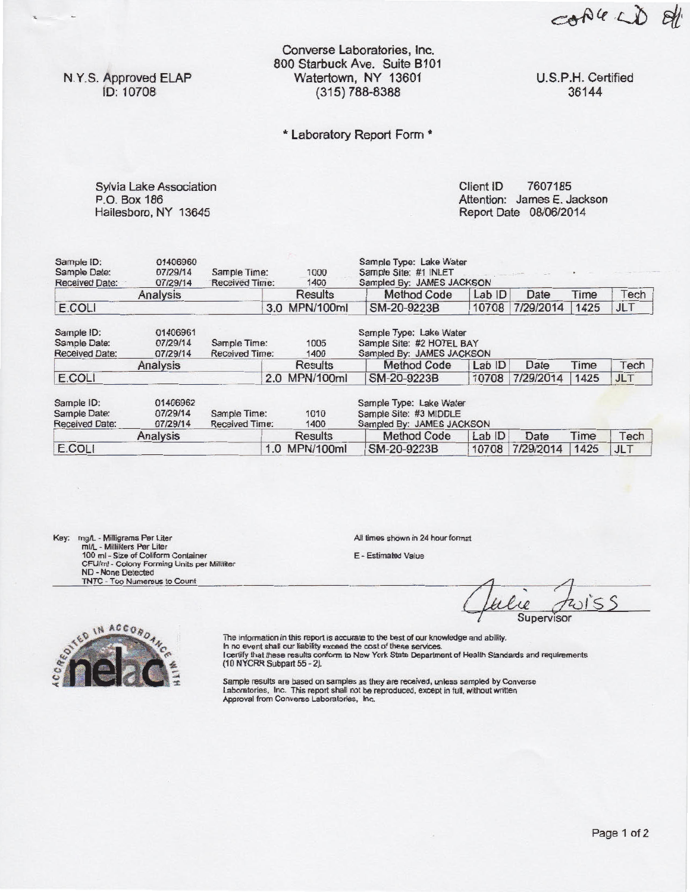cople LD 8/1

N.Y.S. Approved ELAP ID: 10708

Converse Laboratories, Inc. 800 Starbuck Ave. Suite 8101 Watertown, NY 13601 (315) 788-8388

U.S.P.H. Certified 36144

## \* Laboratory Report Form \*

Sylvia Lake Association P.O. Box 186 Hailesboro, NY 13645

Client ID 7607185 Attention: James E. Jackson Report Date 08/06/2014

| Sample ID:<br>Sample Date:<br>Received Date:        | 01406960<br>07/29/14<br>07/29/14 | Sample Time:<br>Received Time:                                                                                                             |     | 1000<br>1400  | Sample Type: Lake Water<br>Sample Site: #1 INLET<br>Sampled By: JAMES JACKSON  |        |           |      |            |  |
|-----------------------------------------------------|----------------------------------|--------------------------------------------------------------------------------------------------------------------------------------------|-----|---------------|--------------------------------------------------------------------------------|--------|-----------|------|------------|--|
|                                                     | Analysis                         |                                                                                                                                            |     | Results       | <b>Method Code</b>                                                             | Lab ID | Date      | Time | Tech       |  |
| E.COLI                                              |                                  |                                                                                                                                            | 3.0 | MPN/100ml     | SM-20-9223B                                                                    | 10708  | 7/29/2014 | 1425 | <b>JLT</b> |  |
| Sample ID:<br>Sample Date:<br><b>Received Date:</b> | 01406961<br>07/29/14<br>07/29/14 | Sample Type: Lake Water<br>Sample Site: #2 HOTEL BAY<br>1005<br>Sample Time:<br>Sampled By: JAMES JACKSON<br><b>Received Time:</b><br>1400 |     |               |                                                                                |        |           |      |            |  |
|                                                     | Analysis                         |                                                                                                                                            |     | Results       | Method Code                                                                    | Lab ID | Date      | Time | Tech       |  |
| E.COLI                                              |                                  |                                                                                                                                            |     | 2.0 MPN/100ml | SM-20-9223B                                                                    | 10708  | 7/29/2014 | 1425 | <b>JLT</b> |  |
| Sample ID:<br>Sample Date:<br><b>Received Date:</b> | 01406962<br>07/29/14<br>07/29/14 | Sample Time:<br>1010<br>Received Time:<br>1400                                                                                             |     |               | Sample Type: Lake Water<br>Sample Site: #3 MIDDLE<br>Sampled By: JAMES JACKSON |        |           |      |            |  |
|                                                     | Analysis                         |                                                                                                                                            |     | Results       | Method Code                                                                    | Lab ID | Date      | Time | Tech       |  |
| E.COLI                                              |                                  |                                                                                                                                            | 1.0 | MPN/100ml     | SM-20-9223B                                                                    | 10708  | 7/29/2014 | 1425 | JLT        |  |

Key: mg/L - Milligrams Per Liter<br>
ml/L - Millititers Per Liter<br>
100 ml - Size of Coliform Container<br>
100 ml - Size of Coliform Container<br>
CFU/ml - Colony Forming Units per Millititer<br>
ND - None Detected<br>
TNTC - Too Numerou

All times shown in 24 hour format

E - Estimated Value

 $\frac{10}{\text{Supervisor}}$ 



The information in this report is accurate to the best of our knowledge and ability. In no event shall our liability exceed the cost of these services. I certify that these results conform to New York State Department of Health Standards and requirements (10 NYCRR Subpart 55 - 2).

Sample results are based on samples as they are received, unless sampled by Converse Laboratories, Inc. This report shall not be reproduced, except In full, without written Approval from Converse Laboratories. Inc.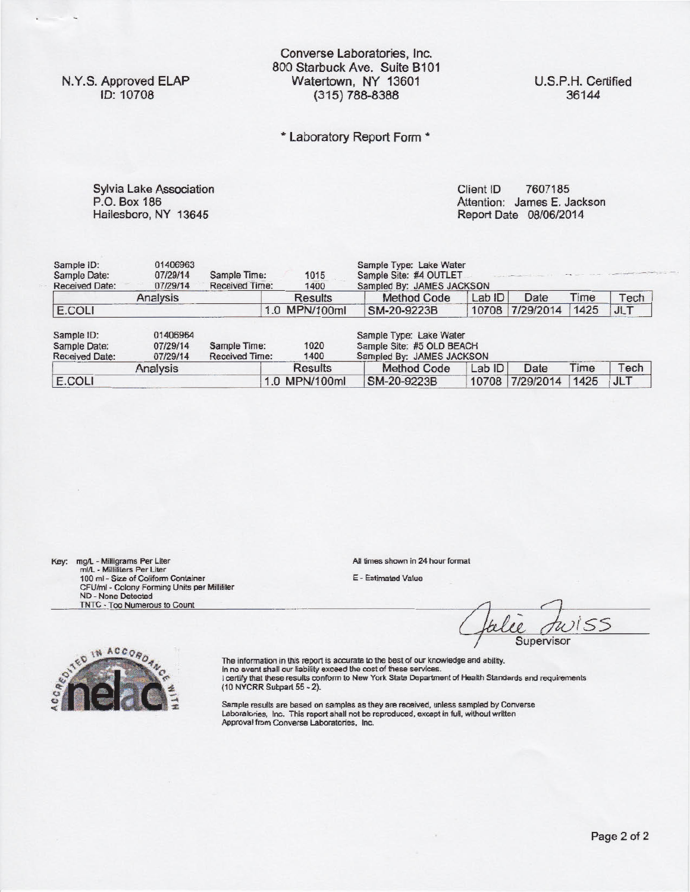N.Y.S. Approved ELAP ID: 10708

Converse Laboratories, Inc. 800 Starbuck Ave. Suite 8101 Watertown, NY 13601 (315) 788-8388

U.S.P.H. Certified 36144

\* Laboratory Report Form \*

Sylvia Lake Association P.O. Box 186 Hailesboro, NY 13645

Client ID 7607185 Attention: James E. Jackson Report Date 08/06/2014

| Sample ID:<br>Sample Date:<br><b>Received Date:</b>                                                                              | 01406963<br>07/29/14<br>07/29/14 | Sample Time:<br><b>Received Time:</b> | 1015<br>1400  | Sample Type: Lake Water<br>Sample Site: #4 OUTLET<br>Sampled By: JAMES JACKSON |       | <b>CONTRACTOR</b> (1994) | and with the second completed and the property of |            |
|----------------------------------------------------------------------------------------------------------------------------------|----------------------------------|---------------------------------------|---------------|--------------------------------------------------------------------------------|-------|--------------------------|---------------------------------------------------|------------|
|                                                                                                                                  | Analysis                         |                                       | Results       | <b>Method Code</b>                                                             | LabID | Date                     | Time                                              | Tech       |
| E.COLI                                                                                                                           |                                  |                                       | 1.0 MPN/100ml | SM-20-9223B                                                                    | 10708 | 7/29/2014                | 1425                                              | <b>JLT</b> |
| 01406964<br>Sample ID:<br>07/29/14<br>Sample Time:<br>Sample Date:<br><b>Received Time:</b><br>07/29/14<br><b>Received Date:</b> |                                  |                                       | 1020          | Sample Type: Lake Water<br>Sample Site: #5 OLD BEACH                           |       |                          |                                                   |            |
|                                                                                                                                  |                                  |                                       | 1400          | Sampled By: JAMES JACKSON                                                      |       |                          |                                                   |            |
|                                                                                                                                  | Analysis                         |                                       | Results       | Method Code                                                                    | LabID | Date                     | Time                                              | Tech       |

Key: mg/L - Milligrams Per Liter All times shown in 24 hour format mi/L - Milliliters Per Liter and All times shown in 24 hour format min 24 hour format min 24 hour format min 24 hour format min 24 hour format min 24 hour 100 ml - Size of Coliform Container E - Estimated Value CFU/ml - Colony Forming Units per Milliliter ND - None Detected TNTC - Too Numerous to Count

SS Supervisor



The information in this report is accurate to the best of our knowledge and ability. In no event shall our liability exceed the cost of these services. I certify that these results conform to New York State Department of Health Standards and requirements (10 NYCRR Subpart 55 - 2).

Sample results are based on samples as they are received, unless sampled by Converse Laboratories, Inc. This report shal not be reproduced. except in full. without written Approval from Conversa Laboratories. Inc.